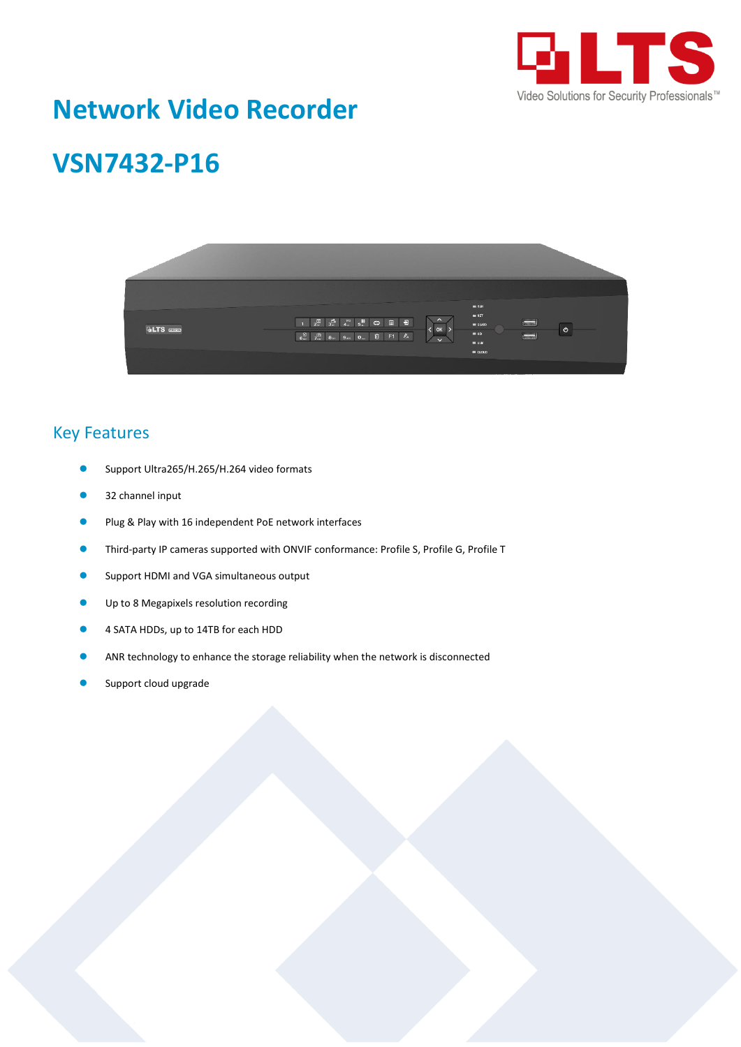

# **Network Video Recorder**

# **VSN7432-P16**



#### Key Features

- Support Ultra265/H.265/H.264 video formats
- 32 channel input
- Plug & Play with 16 independent PoE network interfaces
- Third-party IP cameras supported with ONVIF conformance: Profile S, Profile G, Profile T
- Support HDMI and VGA simultaneous output
- Up to 8 Megapixels resolution recording
- 4 SATA HDDs, up to 14TB for each HDD
- ANR technology to enhance the storage reliability when the network is disconnected
- Support cloud upgrade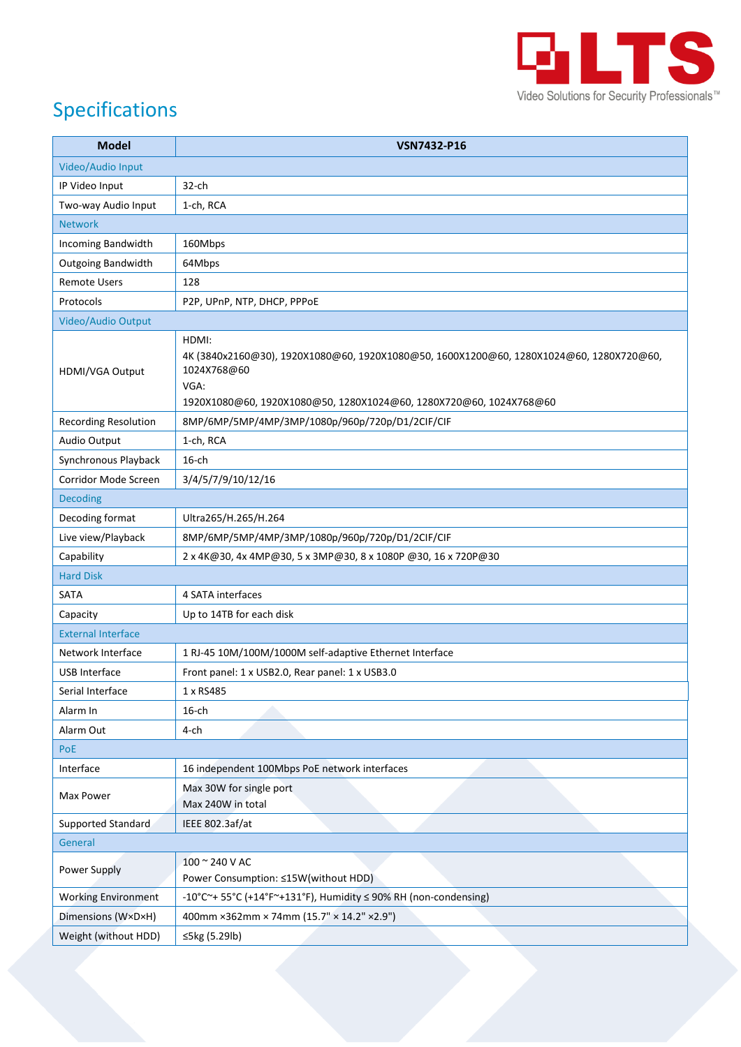

## Specifications

| <b>Model</b>                | <b>VSN7432-P16</b>                                                                                                                                                                            |
|-----------------------------|-----------------------------------------------------------------------------------------------------------------------------------------------------------------------------------------------|
| Video/Audio Input           |                                                                                                                                                                                               |
| IP Video Input              | $32$ -ch                                                                                                                                                                                      |
| Two-way Audio Input         | 1-ch, RCA                                                                                                                                                                                     |
| <b>Network</b>              |                                                                                                                                                                                               |
| Incoming Bandwidth          | 160Mbps                                                                                                                                                                                       |
| <b>Outgoing Bandwidth</b>   | 64Mbps                                                                                                                                                                                        |
| <b>Remote Users</b>         | 128                                                                                                                                                                                           |
| Protocols                   | P2P, UPnP, NTP, DHCP, PPPoE                                                                                                                                                                   |
| Video/Audio Output          |                                                                                                                                                                                               |
| HDMI/VGA Output             | HDMI:<br>4K (3840x2160@30), 1920X1080@60, 1920X1080@50, 1600X1200@60, 1280X1024@60, 1280X720@60,<br>1024X768@60<br>VGA:<br>1920X1080@60, 1920X1080@50, 1280X1024@60, 1280X720@60, 1024X768@60 |
| <b>Recording Resolution</b> | 8MP/6MP/5MP/4MP/3MP/1080p/960p/720p/D1/2CIF/CIF                                                                                                                                               |
| Audio Output                | 1-ch, RCA                                                                                                                                                                                     |
| Synchronous Playback        | $16$ -ch                                                                                                                                                                                      |
| Corridor Mode Screen        | 3/4/5/7/9/10/12/16                                                                                                                                                                            |
| <b>Decoding</b>             |                                                                                                                                                                                               |
| Decoding format             | Ultra265/H.265/H.264                                                                                                                                                                          |
| Live view/Playback          | 8MP/6MP/5MP/4MP/3MP/1080p/960p/720p/D1/2CIF/CIF                                                                                                                                               |
| Capability                  | 2 x 4K@30, 4x 4MP@30, 5 x 3MP@30, 8 x 1080P @30, 16 x 720P@30                                                                                                                                 |
| <b>Hard Disk</b>            |                                                                                                                                                                                               |
| SATA                        | 4 SATA interfaces                                                                                                                                                                             |
| Capacity                    | Up to 14TB for each disk                                                                                                                                                                      |
| <b>External Interface</b>   |                                                                                                                                                                                               |
| Network Interface           | 1 RJ-45 10M/100M/1000M self-adaptive Ethernet Interface                                                                                                                                       |
| <b>USB Interface</b>        | Front panel: 1 x USB2.0, Rear panel: 1 x USB3.0                                                                                                                                               |
| Serial Interface            | 1 x RS485                                                                                                                                                                                     |
| Alarm In                    | $16$ -ch                                                                                                                                                                                      |
| Alarm Out                   | 4-ch                                                                                                                                                                                          |
| PoE                         |                                                                                                                                                                                               |
| Interface                   | 16 independent 100Mbps PoE network interfaces                                                                                                                                                 |
| Max Power                   | Max 30W for single port<br>Max 240W in total                                                                                                                                                  |
| Supported Standard          | IEEE 802.3af/at                                                                                                                                                                               |
| General                     |                                                                                                                                                                                               |
| <b>Power Supply</b>         | 100 ~ 240 V AC<br>Power Consumption: ≤15W(without HDD)                                                                                                                                        |
| <b>Working Environment</b>  | -10°C~+ 55°C (+14°F~+131°F), Humidity ≤ 90% RH (non-condensing)                                                                                                                               |
| Dimensions (WxDxH)          | 400mm ×362mm × 74mm (15.7" × 14.2" × 2.9")                                                                                                                                                    |
| Weight (without HDD)        | ≤5kg (5.29lb)                                                                                                                                                                                 |